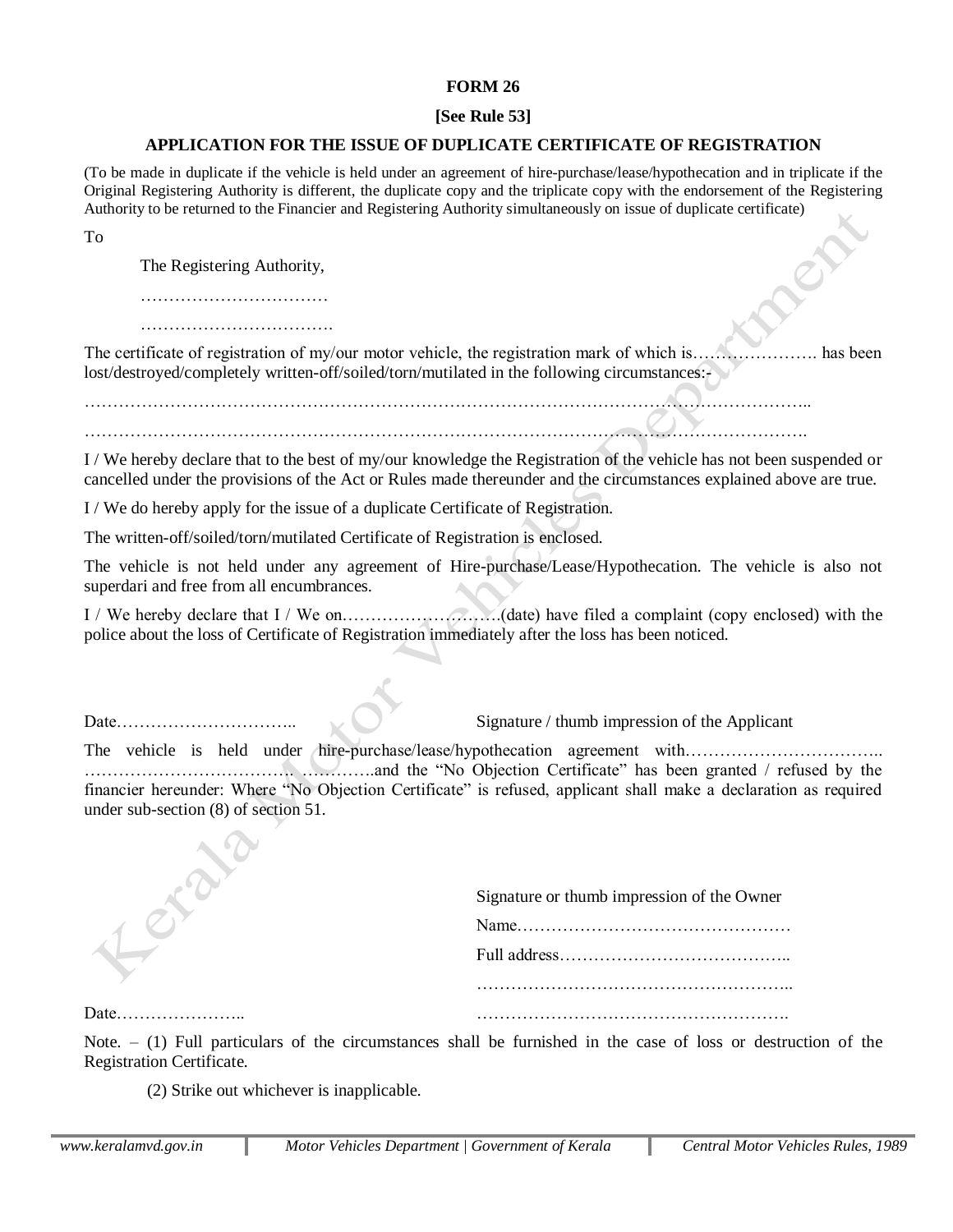### **FORM 26**

# **[See Rule 53]**

# **APPLICATION FOR THE ISSUE OF DUPLICATE CERTIFICATE OF REGISTRATION**

(To be made in duplicate if the vehicle is held under an agreement of hire-purchase/lease/hypothecation and in triplicate if the Original Registering Authority is different, the duplicate copy and the triplicate copy with the endorsement of the Registering Authority to be returned to the Financier and Registering Authority simultaneously on issue of duplicate certificate)

To

The Registering Authority,

……………………………………………

…………………………….

The certificate of registration of my/our motor vehicle, the registration mark of which is…………………. has been lost/destroyed/completely written-off/soiled/torn/mutilated in the following circumstances:-

……………………………………………………………………………………………………………….. ……………………………………………………………………………………………………………….

I / We hereby declare that to the best of my/our knowledge the Registration of the vehicle has not been suspended or cancelled under the provisions of the Act or Rules made thereunder and the circumstances explained above are true.

I / We do hereby apply for the issue of a duplicate Certificate of Registration.

The written-off/soiled/torn/mutilated Certificate of Registration is enclosed.

The vehicle is not held under any agreement of Hire-purchase/Lease/Hypothecation. The vehicle is also not superdari and free from all encumbrances.

I / We hereby declare that I / We on……………………….(date) have filed a complaint (copy enclosed) with the police about the loss of Certificate of Registration immediately after the loss has been noticed.

Date………………………….. Signature / thumb impression of the Applicant

The vehicle is held under hire-purchase/lease/hypothecation agreement with………………………………… ………………………………. ………….and the "No Objection Certificate" has been granted / refused by the financier hereunder: Where "No Objection Certificate" is refused, applicant shall make a declaration as required under sub-section (8) of section 51.

| Signature or thumb impression of the Owner |
|--------------------------------------------|
|                                            |
|                                            |
|                                            |
|                                            |

Note.  $-$  (1) Full particulars of the circumstances shall be furnished in the case of loss or destruction of the Registration Certificate.

(2) Strike out whichever is inapplicable.

Date………………….. ……………………………………………….